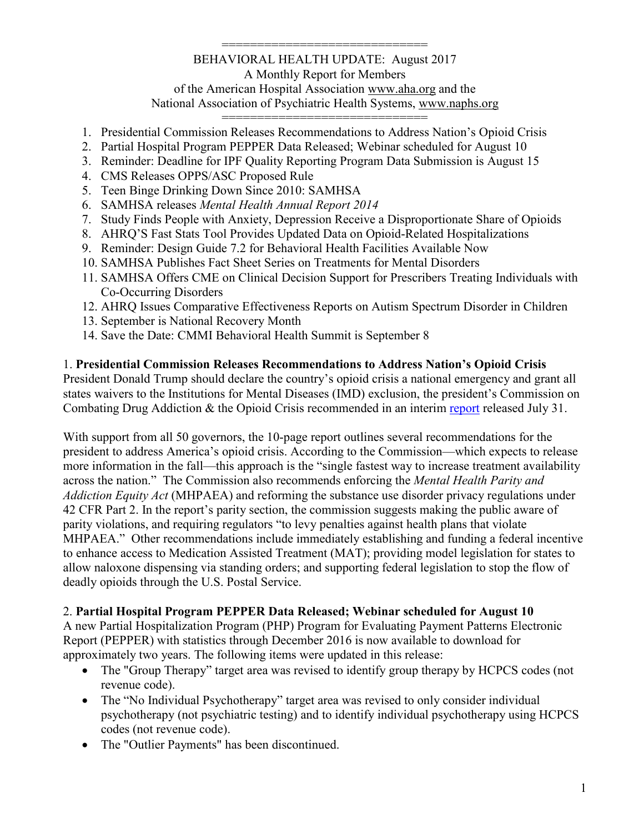#### ============================= BEHAVIORAL HEALTH UPDATE: August 2017 A Monthly Report for Members of the American Hospital Association [www.aha.org](http://www.aha.org/) and the National Association of Psychiatric Health Systems, [www.naphs.org](http://www.naphs.org/)

=============================

- 1. Presidential Commission Releases Recommendations to Address Nation's Opioid Crisis
- 2. Partial Hospital Program PEPPER Data Released; Webinar scheduled for August 10
- 3. Reminder: Deadline for IPF Quality Reporting Program Data Submission is August 15
- 4. CMS Releases OPPS/ASC Proposed Rule
- 5. Teen Binge Drinking Down Since 2010: SAMHSA
- 6. SAMHSA releases *Mental Health Annual Report 2014*
- 7. Study Finds People with Anxiety, Depression Receive a Disproportionate Share of Opioids
- 8. AHRQ'S Fast Stats Tool Provides Updated Data on Opioid-Related Hospitalizations
- 9. Reminder: Design Guide 7.2 for Behavioral Health Facilities Available Now
- 10. SAMHSA Publishes Fact Sheet Series on Treatments for Mental Disorders
- 11. SAMHSA Offers CME on Clinical Decision Support for Prescribers Treating Individuals with Co-Occurring Disorders
- 12. AHRQ Issues Comparative Effectiveness Reports on Autism Spectrum Disorder in Children
- 13. September is National Recovery Month
- 14. Save the Date: CMMI Behavioral Health Summit is September 8

#### 1. **Presidential Commission Releases Recommendations to Address Nation's Opioid Crisis**

President Donald Trump should declare the country's opioid crisis a national emergency and grant all states waivers to the Institutions for Mental Diseases (IMD) exclusion, the president's Commission on Combating Drug Addiction & the Opioid Crisis recommended in an interim [report](https://u2299902.ct.sendgrid.net/wf/click?upn=Rieh0CjMSMHEr4SWhwY2kpuGycJRSdntHPzOjVLs0w36bcxSJ-2FjjJ3LrIRSHOTVa8l1P8wYgqG6nJnIWFxTdIA1p7k49ciWg-2BWBfXc5rTmV6VY3HOTRyPnkqp8rZWehhD5yTpX9Wtv9KDENo-2F-2BtMzg-3D-3D_j69TppKtoheIiuvXUUvh3BWucjxecoob6SjyYVSvkeUsJx8EL4pRUPDMDqnuKGERlmmFLDXz2AGoQMVcjCmjwLwttxJ-2BO-2BGFdWcQsewcXqbLmNF2NJ1xyGK9BNwwOUKYa7YVAB143zJg-2B7r2-2BqcbrM4f-2Bqb6dbmB4yy6Qo-2FcjW6s-2FzIKn3VXQk9n-2FDcujCM1E2OzrqT969TJE-2F9WbQPpYhELTPy2gMjlRMAn95Zq6XpHi0NKPKsVBKbmFEHzzCeHIFykj8xMF9akKyBWIic-2BWyif4kU7eo-2BfBxOoDYRfmA-2B-2FO4RxI-2BYRdf0-2BiMfdrzCZWpRK0eqGjndrFc-2F-2F060qF0nHhAqYaixj17ddppvLsDvxZWAMnm0-2FMHgRJHnTHiZWNwLl6S1oZiNcaUiGuBJ0G1YcJdkUIXnEkerXajgQsuE-3D) released July 31.

With support from all 50 governors, the 10-page report outlines several recommendations for the president to address America's opioid crisis. According to the Commission—which expects to release more information in the fall—this approach is the "single fastest way to increase treatment availability across the nation." The Commission also recommends enforcing the *Mental Health Parity and Addiction Equity Act* (MHPAEA) and reforming the substance use disorder privacy regulations under 42 CFR Part 2. In the report's parity section, the commission suggests making the public aware of parity violations, and requiring regulators "to levy penalties against health plans that violate MHPAEA." Other recommendations include immediately establishing and funding a federal incentive to enhance access to Medication Assisted Treatment (MAT); providing model legislation for states to allow naloxone dispensing via standing orders; and supporting federal legislation to stop the flow of deadly opioids through the U.S. Postal Service.

## 2. **Partial Hospital Program PEPPER Data Released; Webinar scheduled for August 10**

A new Partial Hospitalization Program (PHP) Program for Evaluating Payment Patterns Electronic Report (PEPPER) with statistics through December 2016 is now available to download for approximately two years. The following items were updated in this release:

- The "Group Therapy" target area was revised to identify group therapy by HCPCS codes (not revenue code).
- The "No Individual Psychotherapy" target area was revised to only consider individual psychotherapy (not psychiatric testing) and to identify individual psychotherapy using HCPCS codes (not revenue code).
- The "Outlier Payments" has been discontinued.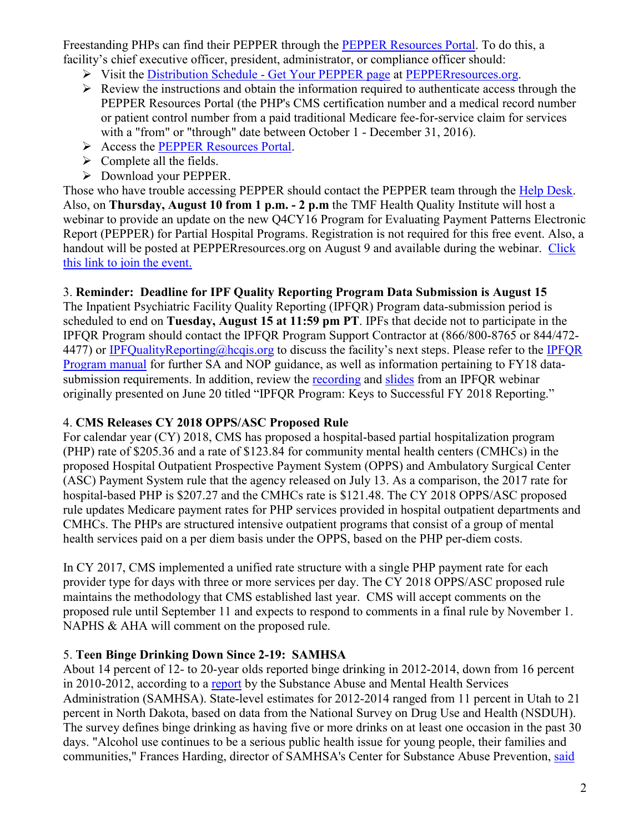Freestanding PHPs can find their PEPPER through the [PEPPER Resources Portal.](https://u2299902.ct.sendgrid.net/wf/click?upn=3-2Ft-2Bt6yqe5LM9dgmnY5n9BjJ51V0MQ7lXvse7AsypvFrqhjUx8-2FIevtoEQC-2F2-2F-2BQUQGoK-2BRkgq8c77OxtOJM4xGoxna2-2FbxQTSKpC-2BhgDjmC1iLUSo-2BdLS-2F666BXqMhrlsYuZ-2Bh1BpZXLoKW-2BPm02LxNI5F90Tx-2B31QH04LN6EVVMUy2rga7ERszL7LFiTeW-2FbDaQumAlt3rmfgJ9PBBtpCxOdGTmv2veKDb8J6WCtwl-2FcMtD-2BvLKvyBF0ObjmlUx7bwDem8hKt-2B4cKWFTSwJkSMuNVmgCWYe1EoMxuZHIBTevvpqnqIZRbD4Rgqx39ZWfmv28HhSDVjCqrzUiKv5JVHVkS5ly1FxgeLXukcNY9aNithBUmFTVgWERwJYmpGsRaOf2vIXEgA9DRDxURhExDPPTs903mUsy5UYgbuKMIOR6c2dnX0l5IoZUnT0LC745YBXlfz6EZxK-2BjdigEly53MUvTER0W4EnVczDyrCzbpCL8bhrsVoAG28haTpmR3_j69TppKtoheIiuvXUUvh3BWucjxecoob6SjyYVSvkeUsJx8EL4pRUPDMDqnuKGERGf-2F5irZCMozIKEGfSI9h-2FFYU7mzDvVsURgMdPJHx6txrrE-2FQwyzGa44RDUFiP7JRt-2BqJOPZMpjybqwQY80IGeocbDHTMwI-2FE-2BWgDG8RnsTZ53XgTniwe0APqrIdUROFFU7Gac-2Fq7J6kFbn1Tf-2FT-2B8jLoavm73X2TLrZNno1p0IwuETMYvEiZp0kgMk3GDTQyH7Ks9CUWIYi3cbUIjndxroJq9CFP3DiEIFRENMBHr8jOZHr6WXLVy1pF8zBAleYI) To do this, a facility's chief executive officer, president, administrator, or compliance officer should:

- $\triangleright$  Visit the Distribution Schedule [Get Your PEPPER page](https://u2299902.ct.sendgrid.net/wf/click?upn=3-2Ft-2Bt6yqe5LM9dgmnY5n9BjJ51V0MQ7lXvse7AsypvFrqhjUx8-2FIevtoEQC-2F2-2F-2BQUQGoK-2BRkgq8c77OxtOJM4xGoxna2-2FbxQTSKpC-2BhgDjkv3U1vSIYdwENXPoSDr0rYhoJ1sKqGGC17P4hoNpIHR2ddBCWSc1I0TMM5mHcA6ArwwA7Le-2BZBrFbdLNNPF5bSfg9YfWCKy-2F2IR3fij-2BYe7RXaRkbiznSBpUTl9lVtnyYO44WBty1lM6sQCwrvZyya2RAlSOXb0NZQ8Dz6RehIzd9rgMs9pAuKuiOGJ1vco5v9pJUNdpqDDjafB6qd4IaaNK4yGR9iPDmFOH4cGkw4Czp6sMFfbZlfiyzQIVQBhox8pt7m38lmz-2FJHtRmSWU9K4yqldVgd-2B3JgwYJc-2FAASq8aRuPSW4qBnp88lN0oWOBNjLh0IDOFdMAU4V-2BDAw6kmuWQBnEL-2Fais6Rz85Smu9S-2BE7IeaH-2BF-2B-2FvUDJqBoeIFEH0qEnkkM8JLQw1h6uvb4JgKjIDi1es2s-2FRCXb268VoVdNJaU-2BEQHDOsBElfHF2pQ-3D_j69TppKtoheIiuvXUUvh3BWucjxecoob6SjyYVSvkeUsJx8EL4pRUPDMDqnuKGERGf-2F5irZCMozIKEGfSI9h-2FFYU7mzDvVsURgMdPJHx6tw-2FiRnW6E3NdEribafyMF7EJvEUWHxkc8-2BqleLquuS7bYmh7MkuB8Tg-2BhW3eSE0FnWo9Qguka9oUGXf53a-2FFYc7C3M-2BeHCJP3p40vmmYd9KSMeApXX6iondBGsUO866Zr0GFa-2Bvjv-2BTSz0PiWiCJykBWfSlM2hhL5BctJVC-2FV2TP1CcyqTagkBbxNuI6SKXyn1dKQbrYaE6f4DiJrPEe6LR) at PEPPER resources.org.
- $\triangleright$  Review the instructions and obtain the information required to authenticate access through the PEPPER Resources Portal (the PHP's CMS certification number and a medical record number or patient control number from a paid traditional Medicare fee-for-service claim for services with a "from" or "through" date between October 1 - December 31, 2016).
- Access the [PEPPER Resources Portal.](https://u2299902.ct.sendgrid.net/wf/click?upn=3-2Ft-2Bt6yqe5LM9dgmnY5n9BjJ51V0MQ7lXvse7AsypvFrqhjUx8-2FIevtoEQC-2F2-2F-2BQUQGoK-2BRkgq8c77OxtOJM4xGoxna2-2FbxQTSKpC-2BhgDjmC1iLUSo-2BdLS-2F666BXqMhrlsYuZ-2Bh1BpZXLoKW-2BPm02LxNI5F90Tx-2B31QH04LN6EVVMUy2rga7ERszL7LFiTeW-2FbDaQumAlt3rmfgJ9PBBtpCxOdGTmv2veKDb8J6WCtwl-2FcMtD-2BvLKvyBF0ObjmlUx7bwDem8hKt-2B4cKWFTSwJkSMuNVmgCWYe1EoMxuZHIBTevvpqnqIZRbD4Rgqx39ZWfmv28HhSDVjCqrzUiKv5JVHVkS5ly1FxgeLXukcNY9aNithBUmFTVgWERwJYmpGsRaOf2vIXEgA9DRDxURhExDPPTs903mUsy5UYgbuKMIOR6c2dnX0l5IoZUnT0LC745YBXlfz6EZxK-2BjdigEly53MUvTER0W4EnVczDyrCzbpCL8bhrsVoAG28haTpmR3_j69TppKtoheIiuvXUUvh3BWucjxecoob6SjyYVSvkeUsJx8EL4pRUPDMDqnuKGERGf-2F5irZCMozIKEGfSI9h-2FFYU7mzDvVsURgMdPJHx6twJ8pF5urzejo2LH0kCdeXKeQSZvSiQq-2BjzFUTqiyHr6030kG0a1PbFuwt-2FpONeeNyE69pDQ1XAkBWUrAa9HYGuvUiwkLyWEViC6IrWp6PE-2F1SDIxySiGtWD1p3vfpeMHPN-2BOxzG1AoDzI-2F5Wk4Kw8-2F1mRggY4LphKd43FfFF16KUFKinSx4WwBCXrOgS9DHuPwbGL1qIDahoFYn7vHzPkO)
- $\triangleright$  Complete all the fields.
- Download your PEPPER.

Those who have trouble accessing PEPPER should contact the PEPPER team through the [Help Desk.](https://u2299902.ct.sendgrid.net/wf/click?upn=3-2Ft-2Bt6yqe5LM9dgmnY5n9BjJ51V0MQ7lXvse7AsypvFrqhjUx8-2FIevtoEQC-2F2-2F-2BQUQGoK-2BRkgq8c77OxtOJM4xGoxna2-2FbxQTSKpC-2BhgDjmx6yXrfX5swJUK1l2J-2FUxcZHYfR6Tpoy3gSr0RL6rVNlwTCeO0KSv6Qhn8mMQ4KxdGlvm4Y85IJI0E7vH8riTIC6QWXq93EqIMFY821VA7sw44FaKe9uJyHXaj-2BliygjNOWd7OJ-2F8jL0NVRLrFbz4uCnyodkgBeCR-2F1HN2vgDTFIAQQxuZyTgWrLnZDdhd1GqGV-2FWBtbTnJVJfoxUWYFI5bGg4CiQTz3hjor8mL1dqaqseCR-2BAoKELifeVaZGGy3Qfc-2FAY4r2GN3Qfc-2FxOjyeHctIsVJ-2FI1YpSZpGaZSCPEf-2F6W9lk-2FH9hyfIC7TS-2F1Vg-2BNjsm6kLriRY9v6qMNn6OJK7LxybSP899UFRHGrkbPYIDG55fwuDmtWnZck8nsX4-3D_j69TppKtoheIiuvXUUvh3BWucjxecoob6SjyYVSvkeUsJx8EL4pRUPDMDqnuKGERGf-2F5irZCMozIKEGfSI9h-2FFYU7mzDvVsURgMdPJHx6tzyv2609D-2Funs0w5BwvE-2BWT7rhUmCSCyqZngW9FI-2FnOsTguclQ9tdqhWFtTlkqdfxmLjDAdYDHonAmnZLJTgQzHrMqYQd0RK65Lw1GyGGXhOr-2Ftn6VmVuMr8Ix-2BfC7yvfttycil6Vl97b8h-2Bx-2BOaElCOztcX6C-2BzR8h7qGgDdWwqUHT043XSx5br65gw4qDWkWB3jYoKs1Y-2Fl9h-2BVpyOgHf) Also, on **Thursday, August 10 from 1 p.m. - 2 p.m** the TMF Health Quality Institute will host a webinar to provide an update on the new Q4CY16 Program for Evaluating Payment Patterns Electronic Report (PEPPER) for Partial Hospital Programs. Registration is not required for this free event. Also, a handout will be posted at PEPPERresources.org on August 9 and available during the webinar. [Click](https://u2299902.ct.sendgrid.net/wf/click?upn=3-2Ft-2Bt6yqe5LM9dgmnY5n9BjJ51V0MQ7lXvse7AsypvEqwSB426mQizOX2t-2F0E-2B7iDZRCeSZVRYc3MwmJfiEXz9adUYkJBBav3givcNcYZOxw6a2iwMDTkuV1MQX2aj4BakOKnJNOhaDzl5NnjEMItMI95RqI8QN3oKlif1v9plXdXZrc0GxU2F56CjLNE65kgRGF0GQvG8wq6ZMuCgT4IeCGDKk3uB-2BYsonblLy7ReIiymN1AF3-2F1VruXZnrsU0j6E08AFNyWFOsm7fOAbHGNn-2FsuekurtdKj4PtG43dGjh4t8-2FySpQGKLFBLiBPsblCS4eR6P6q5VTMSZoorOqLcTPm94h44gEqoedsPzhXspNrSqdnh-2Bh2dvj7Po5F1ISzACUnpnKr-2B36g1IVQk2UKg056vnxgUWZINIXf2WB6itnxa3jS4xttqDd2BfEeG6i-2FXssG2rAeBlEneTGNcedHqFXmUNHgrliY0jnUqf1g03HK-2Bnzp3hslgMDQIURFoRw5A6ywDGk2grwuufIgUQmNOJkMz0bzDpjHUtBsMvLjJM8-3D_j69TppKtoheIiuvXUUvh3BWucjxecoob6SjyYVSvkeUsJx8EL4pRUPDMDqnuKGER43MulX9mv3n4doQnqzLZls54wBJuJZ-2B9-2BNDyxJgnO01vLtZG2-2BHjm7MeTrREimGesm3-2BKuNb-2FrNPiZXVfgIHem8BvtNVcAihOFYBqr9PrjBBDsOcSWXW0Li3OkpsqEoEgHCE77CiGJb1Cl5PC5eluak6JxsReKYgaDpBW0-2BT9zEpSUeOpo32ymvNxfRdrpC-2FNq5aIL6jGkOVO7LlPiZK-2FVe6Z6BVw-2FMhVJamM7akmT-2FUzr-2FcH5-2B-2B4pKf-2FWzGo-2F9Y)  [this link to join the event.](https://u2299902.ct.sendgrid.net/wf/click?upn=3-2Ft-2Bt6yqe5LM9dgmnY5n9BjJ51V0MQ7lXvse7AsypvEqwSB426mQizOX2t-2F0E-2B7iDZRCeSZVRYc3MwmJfiEXz9adUYkJBBav3givcNcYZOxw6a2iwMDTkuV1MQX2aj4BakOKnJNOhaDzl5NnjEMItMI95RqI8QN3oKlif1v9plXdXZrc0GxU2F56CjLNE65kgRGF0GQvG8wq6ZMuCgT4IeCGDKk3uB-2BYsonblLy7ReIiymN1AF3-2F1VruXZnrsU0j6E08AFNyWFOsm7fOAbHGNn-2FsuekurtdKj4PtG43dGjh4t8-2FySpQGKLFBLiBPsblCS4eR6P6q5VTMSZoorOqLcTPm94h44gEqoedsPzhXspNrSqdnh-2Bh2dvj7Po5F1ISzACUnpnKr-2B36g1IVQk2UKg056vnxgUWZINIXf2WB6itnxa3jS4xttqDd2BfEeG6i-2FXssG2rAeBlEneTGNcedHqFXmUNHgrliY0jnUqf1g03HK-2Bnzp3hslgMDQIURFoRw5A6ywDGk2grwuufIgUQmNOJkMz0bzDpjHUtBsMvLjJM8-3D_j69TppKtoheIiuvXUUvh3BWucjxecoob6SjyYVSvkeUsJx8EL4pRUPDMDqnuKGER43MulX9mv3n4doQnqzLZls54wBJuJZ-2B9-2BNDyxJgnO01vLtZG2-2BHjm7MeTrREimGesm3-2BKuNb-2FrNPiZXVfgIHem8BvtNVcAihOFYBqr9PrjBBDsOcSWXW0Li3OkpsqEoEgHCE77CiGJb1Cl5PC5eluak6JxsReKYgaDpBW0-2BT9zEpSUeOpo32ymvNxfRdrpC-2FNq5aIL6jGkOVO7LlPiZK-2FVe6Z6BVw-2FMhVJamM7akmT-2FUzr-2FcH5-2B-2B4pKf-2FWzGo-2F9Y)

### 3. **Reminder: Deadline for IPF Quality Reporting Program Data Submission is August 15**

The Inpatient Psychiatric Facility Quality Reporting (IPFQR) Program data-submission period is scheduled to end on **Tuesday, August 15 at 11:59 pm PT**. IPFs that decide not to participate in the IPFQR Program should contact the IPFQR Program Support Contractor at (866/800-8765 or 844/472- 4477) or [IPFQualityReporting@hcqis.org](mailto:IPFQualityReporting@hcqis.org) to discuss the facility's next steps. Please refer to the IPFQR [Program manual](http://www.qualityreportingcenter.com/wp-content/uploads/2017/01/IPF_CY2016_IPFQRManual_20161110_vFINAL508cr.pdf) for further SA and NOP guidance, as well as information pertaining to FY18 datasubmission requirements. In addition, review the [recording](http://www.qualityreportingcenter.com/player/index.php?src=http://www.qualityreportingcenter.com/wp-content/uploads/2017/06/IPF06202017-pre-record-wointro.mp4&cc=) and [slides](http://www.qualityreportingcenter.com/wp-content/uploads/2017/06/IPF_FY2018_June20Webinar_Slides_20170608_vFINAL508.pdf) from an IPFQR webinar originally presented on June 20 titled "IPFQR Program: Keys to Successful FY 2018 Reporting."

#### 4. **CMS Releases CY 2018 OPPS/ASC Proposed Rule**

For calendar year (CY) 2018, CMS has proposed a hospital-based partial hospitalization program (PHP) rate of \$205.36 and a rate of \$123.84 for community mental health centers (CMHCs) in the proposed Hospital Outpatient Prospective Payment System (OPPS) and Ambulatory Surgical Center (ASC) Payment System rule that the agency released on July 13. As a comparison, the 2017 rate for hospital-based PHP is \$207.27 and the CMHCs rate is \$121.48. The CY 2018 OPPS/ASC proposed rule updates Medicare payment rates for PHP services provided in hospital outpatient departments and CMHCs. The PHPs are structured intensive outpatient programs that consist of a group of mental health services paid on a per diem basis under the OPPS, based on the PHP per-diem costs.

In CY 2017, CMS implemented a unified rate structure with a single PHP payment rate for each provider type for days with three or more services per day. The CY 2018 OPPS/ASC proposed rule maintains the methodology that CMS established last year. CMS will accept comments on the proposed rule until September 11 and expects to respond to comments in a final rule by November 1. NAPHS & AHA will comment on the proposed rule.

## 5. **Teen Binge Drinking Down Since 2-19: SAMHSA**

About 14 percent of 12- to 20-year olds reported binge drinking in 2012-2014, down from 16 percent in 2010-2012, according to a [report](https://www.samhsa.gov/data/sites/default/files/report_3185/ShortReport-3185.html) by the Substance Abuse and Mental Health Services Administration (SAMHSA). State-level estimates for 2012-2014 ranged from 11 percent in Utah to 21 percent in North Dakota, based on data from the National Survey on Drug Use and Health (NSDUH). The survey defines binge drinking as having five or more drinks on at least one occasion in the past 30 days. "Alcohol use continues to be a serious public health issue for young people, their families and communities," Frances Harding, director of SAMHSA's Center for Substance Abuse Prevention, [said](https://www.samhsa.gov/newsroom/press-announcements/201706220200)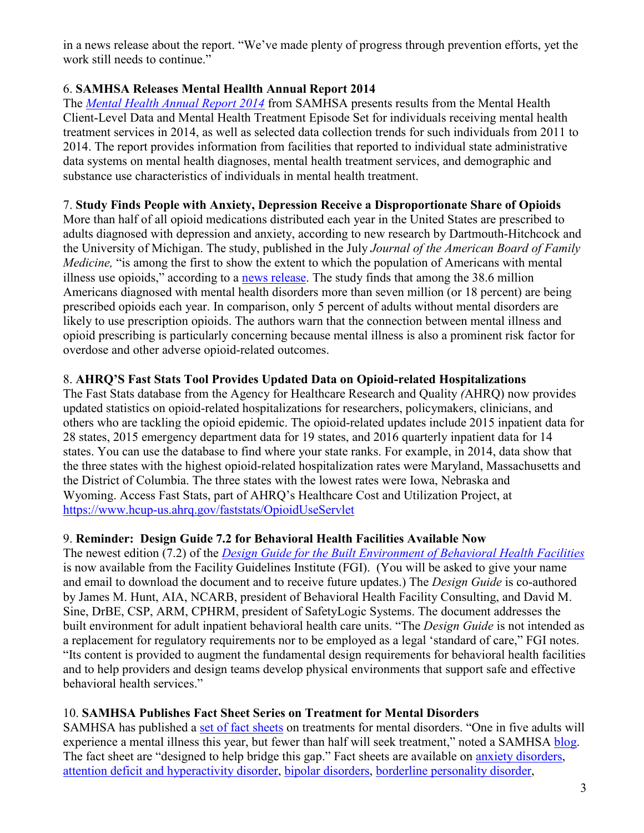in a news release about the report. "We've made plenty of progress through prevention efforts, yet the work still needs to continue."

## 6. **SAMHSA Releases Mental Heallth Annual Report 2014**

The *[Mental Health Annual Report 2014](https://www.samhsa.gov/data/sites/default/files/2014_Mental_Health_Client_Level_Data_Report.pdf)* from SAMHSA presents results from the Mental Health Client-Level Data and Mental Health Treatment Episode Set for individuals receiving mental health treatment services in 2014, as well as selected data collection trends for such individuals from 2011 to 2014. The report provides information from facilities that reported to individual state administrative data systems on mental health diagnoses, mental health treatment services, and demographic and substance use characteristics of individuals in mental health treatment.

### 7. **Study Finds People with Anxiety, Depression Receive a Disproportionate Share of Opioids**

More than half of all opioid medications distributed each year in the United States are prescribed to adults diagnosed with depression and anxiety, according to new research by Dartmouth-Hitchcock and the University of Michigan. The study, published in the July *Journal of the American Board of Family Medicine,* "is among the first to show the extent to which the population of Americans with mental illness use opioids," according to a [news release.](http://www.dartmouth-hitchcock.org/news/article/51649) The study finds that among the 38.6 million Americans diagnosed with mental health disorders more than seven million (or 18 percent) are being prescribed opioids each year. In comparison, only 5 percent of adults without mental disorders are likely to use prescription opioids. The authors warn that the connection between mental illness and opioid prescribing is particularly concerning because mental illness is also a prominent risk factor for overdose and other adverse opioid-related outcomes.

### 8. **AHRQ'S Fast Stats Tool Provides Updated Data on Opioid-related Hospitalizations**

The Fast Stats database from the Agency for Healthcare Research and Quality *(*AHRQ) now provides updated statistics on opioid-related hospitalizations for researchers, policymakers, clinicians, and others who are tackling the opioid epidemic. The opioid-related updates include 2015 inpatient data for 28 states, 2015 emergency department data for 19 states, and 2016 quarterly inpatient data for 14 states. You can use the database to find where your state ranks. For example, in 2014, data show that the three states with the highest opioid-related hospitalization rates were Maryland, Massachusetts and the District of Columbia. The three states with the lowest rates were Iowa, Nebraska and Wyoming. Access Fast Stats, part of AHRQ's Healthcare Cost and Utilization Project, at <https://www.hcup-us.ahrq.gov/faststats/OpioidUseServlet>

## 9. **Reminder: Design Guide 7.2 for Behavioral Health Facilities Available Now**

The newest edition (7.2) of the *[Design Guide for the Built Environment of Behavioral Health Facilities](https://www.fgiguidelines.org/resource/design-guide-built-environment-behavioral-health-facilities)* is now available from the Facility Guidelines Institute (FGI). (You will be asked to give your name and email to download the document and to receive future updates.) The *Design Guide* is co-authored by James M. Hunt, AIA, NCARB, president of Behavioral Health Facility Consulting, and David M. Sine, DrBE, CSP, ARM, CPHRM, president of SafetyLogic Systems. The document addresses the built environment for adult inpatient behavioral health care units. "The *Design Guide* is not intended as a replacement for regulatory requirements nor to be employed as a legal 'standard of care," FGI notes. "Its content is provided to augment the fundamental design requirements for behavioral health facilities and to help providers and design teams develop physical environments that support safe and effective behavioral health services."

## 10. **SAMHSA Publishes Fact Sheet Series on Treatment for Mental Disorders**

SAMHSA has published a [set of fact sheets](https://www.samhsa.gov/treatment/mental-disorders) on treatments for mental disorders. "One in five adults will experience a mental illness this year, but fewer than half will seek treatment," noted a SAMHSA [blog.](https://blog.samhsa.gov/2017/05/31/finding-the-clinical-treatment-thats-right-for-you-or-a-loved-one/#.WTFZ_GckuUk) The fact sheet are "designed to help bridge this gap." Fact sheets are available on [anxiety disorders,](https://www.samhsa.gov/treatment/mental-disorders/anxiety-disorders) [attention deficit and hyperactivity disorder,](https://www.samhsa.gov/treatment/mental-disorders/adhd) [bipolar disorders,](https://www.samhsa.gov/treatment/mental-disorders/bipolar-disorders) [borderline personality disorder,](https://www.samhsa.gov/treatment/mental-disorders/borderline-personality-disorder)